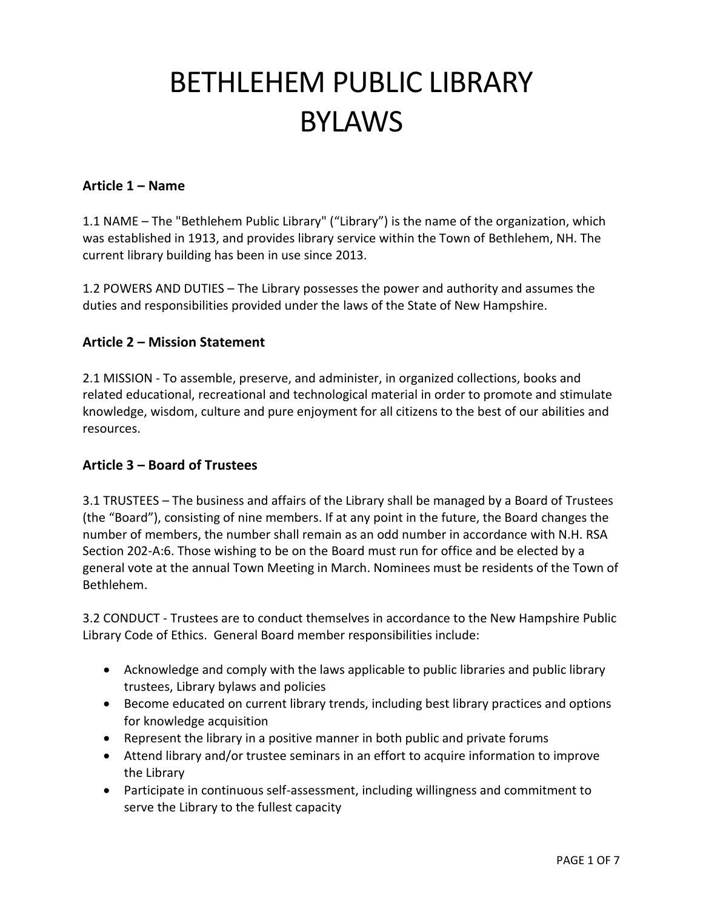# BETHLEHEM PUBLIC LIBRARY BYLAWS

## **Article 1 – Name**

1.1 NAME – The "Bethlehem Public Library" ("Library") is the name of the organization, which was established in 1913, and provides library service within the Town of Bethlehem, NH. The current library building has been in use since 2013.

1.2 POWERS AND DUTIES – The Library possesses the power and authority and assumes the duties and responsibilities provided under the laws of the State of New Hampshire.

## **Article 2 – Mission Statement**

2.1 MISSION - To assemble, preserve, and administer, in organized collections, books and related educational, recreational and technological material in order to promote and stimulate knowledge, wisdom, culture and pure enjoyment for all citizens to the best of our abilities and resources.

#### **Article 3 – Board of Trustees**

3.1 TRUSTEES – The business and affairs of the Library shall be managed by a Board of Trustees (the "Board"), consisting of nine members. If at any point in the future, the Board changes the number of members, the number shall remain as an odd number in accordance with N.H. RSA Section 202-A:6. Those wishing to be on the Board must run for office and be elected by a general vote at the annual Town Meeting in March. Nominees must be residents of the Town of Bethlehem.

3.2 CONDUCT - Trustees are to conduct themselves in accordance to the New Hampshire Public Library Code of Ethics. General Board member responsibilities include:

- Acknowledge and comply with the laws applicable to public libraries and public library trustees, Library bylaws and policies
- Become educated on current library trends, including best library practices and options for knowledge acquisition
- Represent the library in a positive manner in both public and private forums
- Attend library and/or trustee seminars in an effort to acquire information to improve the Library
- Participate in continuous self-assessment, including willingness and commitment to serve the Library to the fullest capacity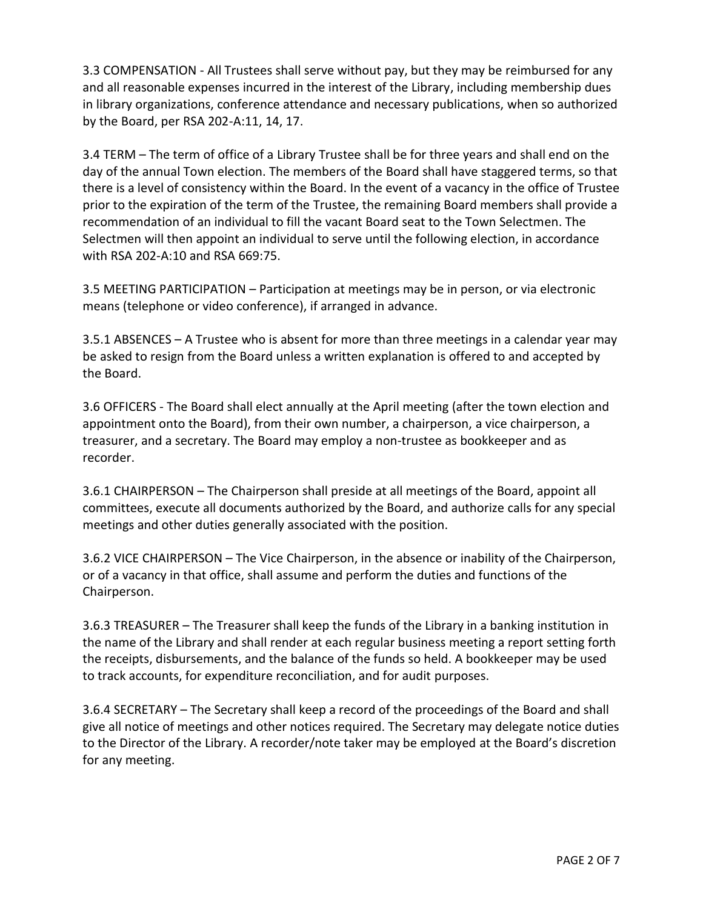3.3 COMPENSATION - All Trustees shall serve without pay, but they may be reimbursed for any and all reasonable expenses incurred in the interest of the Library, including membership dues in library organizations, conference attendance and necessary publications, when so authorized by the Board, per RSA 202-A:11, 14, 17.

3.4 TERM – The term of office of a Library Trustee shall be for three years and shall end on the day of the annual Town election. The members of the Board shall have staggered terms, so that there is a level of consistency within the Board. In the event of a vacancy in the office of Trustee prior to the expiration of the term of the Trustee, the remaining Board members shall provide a recommendation of an individual to fill the vacant Board seat to the Town Selectmen. The Selectmen will then appoint an individual to serve until the following election, in accordance with RSA 202-A:10 and RSA 669:75.

3.5 MEETING PARTICIPATION – Participation at meetings may be in person, or via electronic means (telephone or video conference), if arranged in advance.

3.5.1 ABSENCES – A Trustee who is absent for more than three meetings in a calendar year may be asked to resign from the Board unless a written explanation is offered to and accepted by the Board.

3.6 OFFICERS - The Board shall elect annually at the April meeting (after the town election and appointment onto the Board), from their own number, a chairperson, a vice chairperson, a treasurer, and a secretary. The Board may employ a non-trustee as bookkeeper and as recorder.

3.6.1 CHAIRPERSON – The Chairperson shall preside at all meetings of the Board, appoint all committees, execute all documents authorized by the Board, and authorize calls for any special meetings and other duties generally associated with the position.

3.6.2 VICE CHAIRPERSON – The Vice Chairperson, in the absence or inability of the Chairperson, or of a vacancy in that office, shall assume and perform the duties and functions of the Chairperson.

3.6.3 TREASURER – The Treasurer shall keep the funds of the Library in a banking institution in the name of the Library and shall render at each regular business meeting a report setting forth the receipts, disbursements, and the balance of the funds so held. A bookkeeper may be used to track accounts, for expenditure reconciliation, and for audit purposes.

3.6.4 SECRETARY – The Secretary shall keep a record of the proceedings of the Board and shall give all notice of meetings and other notices required. The Secretary may delegate notice duties to the Director of the Library. A recorder/note taker may be employed at the Board's discretion for any meeting.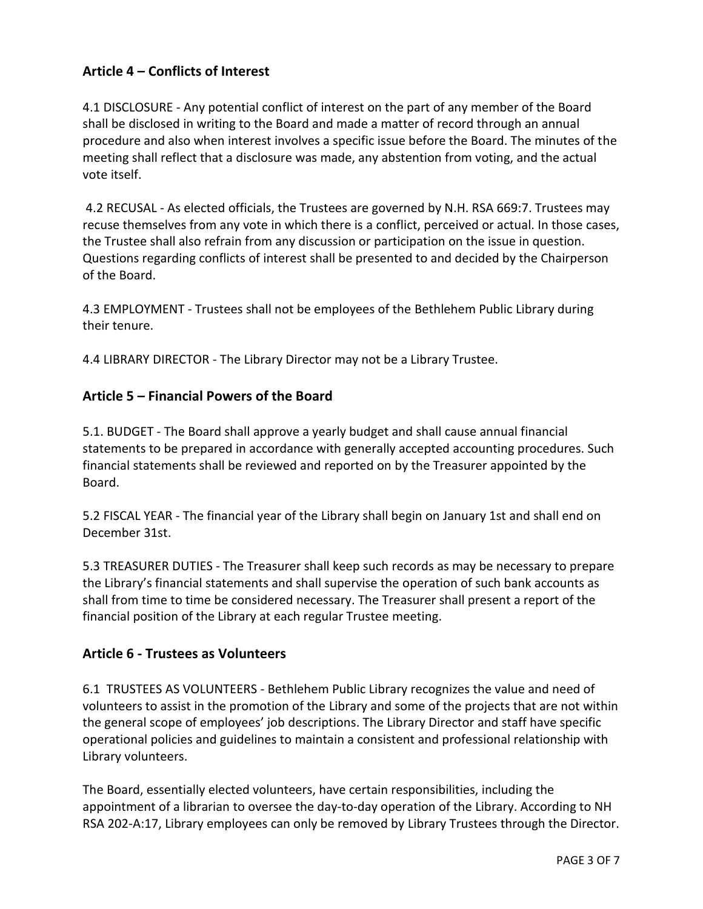# **Article 4 – Conflicts of Interest**

4.1 DISCLOSURE - Any potential conflict of interest on the part of any member of the Board shall be disclosed in writing to the Board and made a matter of record through an annual procedure and also when interest involves a specific issue before the Board. The minutes of the meeting shall reflect that a disclosure was made, any abstention from voting, and the actual vote itself.

4.2 RECUSAL - As elected officials, the Trustees are governed by N.H. RSA 669:7. Trustees may recuse themselves from any vote in which there is a conflict, perceived or actual. In those cases, the Trustee shall also refrain from any discussion or participation on the issue in question. Questions regarding conflicts of interest shall be presented to and decided by the Chairperson of the Board.

4.3 EMPLOYMENT - Trustees shall not be employees of the Bethlehem Public Library during their tenure.

4.4 LIBRARY DIRECTOR - The Library Director may not be a Library Trustee.

## **Article 5 – Financial Powers of the Board**

5.1. BUDGET - The Board shall approve a yearly budget and shall cause annual financial statements to be prepared in accordance with generally accepted accounting procedures. Such financial statements shall be reviewed and reported on by the Treasurer appointed by the Board.

5.2 FISCAL YEAR - The financial year of the Library shall begin on January 1st and shall end on December 31st.

5.3 TREASURER DUTIES - The Treasurer shall keep such records as may be necessary to prepare the Library's financial statements and shall supervise the operation of such bank accounts as shall from time to time be considered necessary. The Treasurer shall present a report of the financial position of the Library at each regular Trustee meeting.

#### **Article 6 - Trustees as Volunteers**

6.1 TRUSTEES AS VOLUNTEERS - Bethlehem Public Library recognizes the value and need of volunteers to assist in the promotion of the Library and some of the projects that are not within the general scope of employees' job descriptions. The Library Director and staff have specific operational policies and guidelines to maintain a consistent and professional relationship with Library volunteers.

The Board, essentially elected volunteers, have certain responsibilities, including the appointment of a librarian to oversee the day-to-day operation of the Library. According to NH RSA 202-A:17, Library employees can only be removed by Library Trustees through the Director.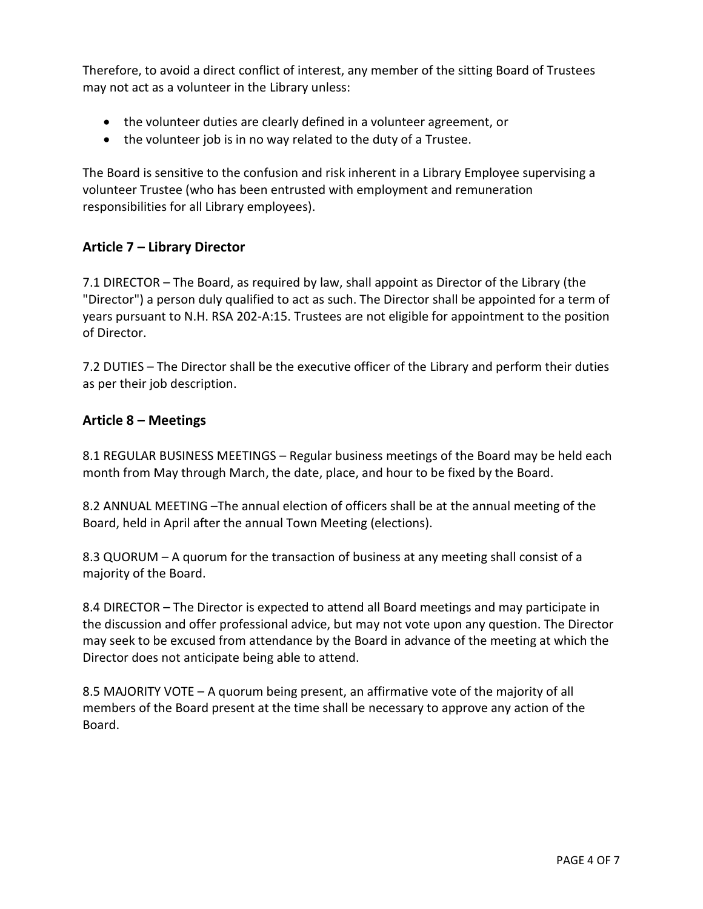Therefore, to avoid a direct conflict of interest, any member of the sitting Board of Trustees may not act as a volunteer in the Library unless:

- the volunteer duties are clearly defined in a volunteer agreement, or
- the volunteer job is in no way related to the duty of a Trustee.

The Board is sensitive to the confusion and risk inherent in a Library Employee supervising a volunteer Trustee (who has been entrusted with employment and remuneration responsibilities for all Library employees).

# **Article 7 – Library Director**

7.1 DIRECTOR – The Board, as required by law, shall appoint as Director of the Library (the "Director") a person duly qualified to act as such. The Director shall be appointed for a term of years pursuant to N.H. RSA 202-A:15. Trustees are not eligible for appointment to the position of Director.

7.2 DUTIES – The Director shall be the executive officer of the Library and perform their duties as per their job description.

## **Article 8 – Meetings**

8.1 REGULAR BUSINESS MEETINGS – Regular business meetings of the Board may be held each month from May through March, the date, place, and hour to be fixed by the Board.

8.2 ANNUAL MEETING –The annual election of officers shall be at the annual meeting of the Board, held in April after the annual Town Meeting (elections).

8.3 QUORUM – A quorum for the transaction of business at any meeting shall consist of a majority of the Board.

8.4 DIRECTOR – The Director is expected to attend all Board meetings and may participate in the discussion and offer professional advice, but may not vote upon any question. The Director may seek to be excused from attendance by the Board in advance of the meeting at which the Director does not anticipate being able to attend.

8.5 MAJORITY VOTE – A quorum being present, an affirmative vote of the majority of all members of the Board present at the time shall be necessary to approve any action of the Board.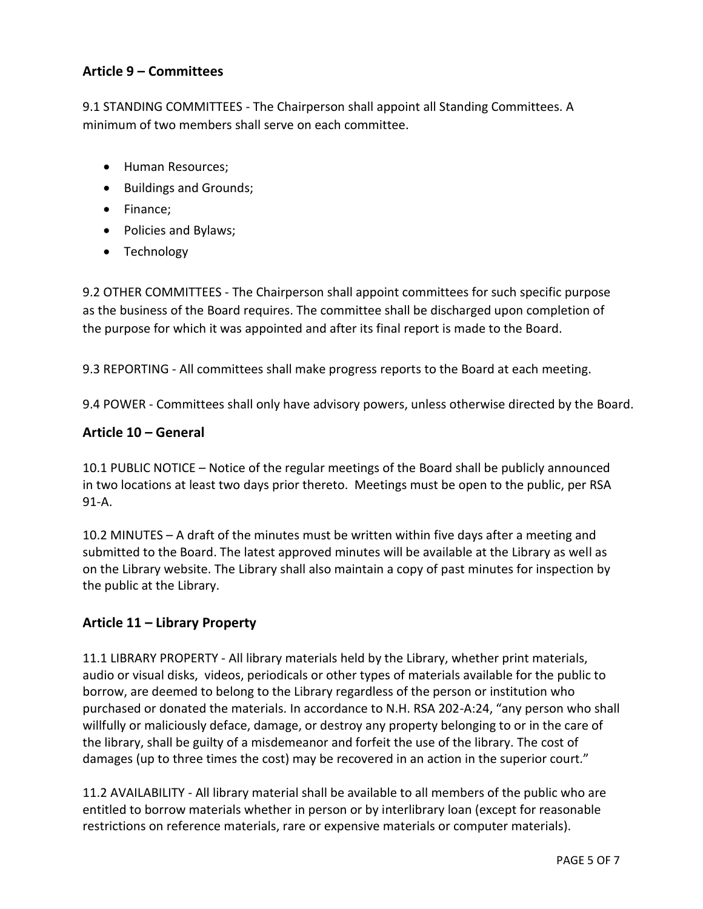# **Article 9 – Committees**

9.1 STANDING COMMITTEES - The Chairperson shall appoint all Standing Committees. A minimum of two members shall serve on each committee.

- Human Resources;
- Buildings and Grounds;
- Finance;
- Policies and Bylaws;
- Technology

9.2 OTHER COMMITTEES - The Chairperson shall appoint committees for such specific purpose as the business of the Board requires. The committee shall be discharged upon completion of the purpose for which it was appointed and after its final report is made to the Board.

9.3 REPORTING - All committees shall make progress reports to the Board at each meeting.

9.4 POWER - Committees shall only have advisory powers, unless otherwise directed by the Board.

## **Article 10 – General**

10.1 PUBLIC NOTICE – Notice of the regular meetings of the Board shall be publicly announced in two locations at least two days prior thereto. Meetings must be open to the public, per RSA 91-A.

10.2 MINUTES – A draft of the minutes must be written within five days after a meeting and submitted to the Board. The latest approved minutes will be available at the Library as well as on the Library website. The Library shall also maintain a copy of past minutes for inspection by the public at the Library.

#### **Article 11 – Library Property**

11.1 LIBRARY PROPERTY - All library materials held by the Library, whether print materials, audio or visual disks, videos, periodicals or other types of materials available for the public to borrow, are deemed to belong to the Library regardless of the person or institution who purchased or donated the materials. In accordance to N.H. RSA 202-A:24, "any person who shall willfully or maliciously deface, damage, or destroy any property belonging to or in the care of the library, shall be guilty of a misdemeanor and forfeit the use of the library. The cost of damages (up to three times the cost) may be recovered in an action in the superior court."

11.2 AVAILABILITY - All library material shall be available to all members of the public who are entitled to borrow materials whether in person or by interlibrary loan (except for reasonable restrictions on reference materials, rare or expensive materials or computer materials).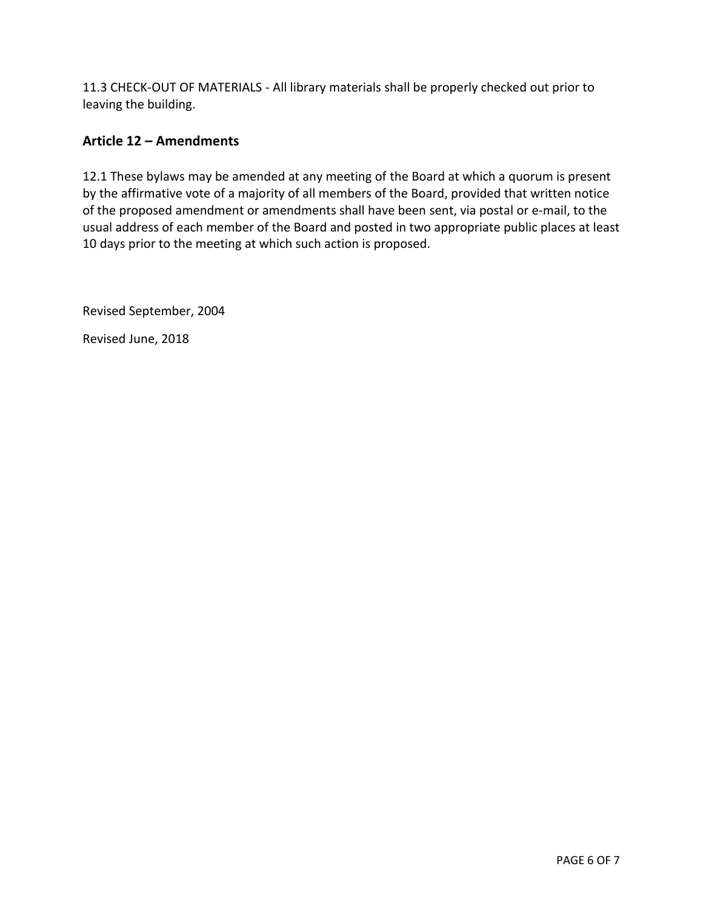11.3 CHECK-OUT OF MATERIALS - All library materials shall be properly checked out prior to leaving the building.

# **Article 12 – Amendments**

12.1 These bylaws may be amended at any meeting of the Board at which a quorum is present by the affirmative vote of a majority of all members of the Board, provided that written notice of the proposed amendment or amendments shall have been sent, via postal or e-mail, to the usual address of each member of the Board and posted in two appropriate public places at least 10 days prior to the meeting at which such action is proposed.

Revised September, 2004

Revised June, 2018